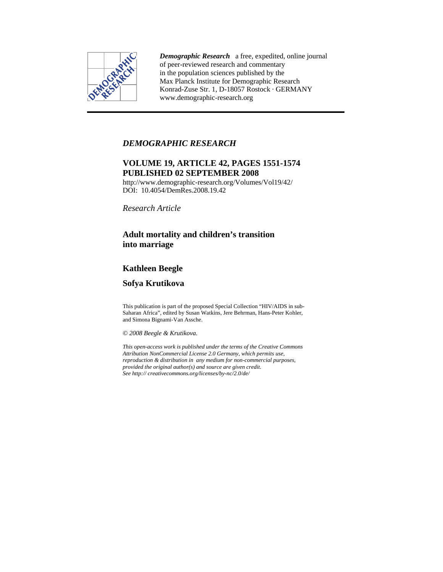

*Demographic Research* a free, expedited, online journal of peer-reviewed research and commentary in the population sciences published by the Max Planck Institute for Demographic Research Konrad-Zuse Str. 1, D-18057 Rostock · GERMANY www.demographic-research.org

## *DEMOGRAPHIC RESEARCH*

# **VOLUME 19, ARTICLE 42, PAGES 1551-1574 PUBLISHED 02 SEPTEMBER 2008**

http://www.demographic-research.org/Volumes/Vol19/42/ DOI: 10.4054/DemRes.2008.19.42

*Research Article* 

## **Adult mortality and children's transition into marriage**

# **Kathleen Beegle**

## **Sofya Krutikova**

This publication is part of the proposed Special Collection "HIV/AIDS in sub-Saharan Africa", edited by Susan Watkins, Jere Behrman, Hans-Peter Kohler, and Simona Bignami-Van Assche.

*© 2008 Beegle & Krutikova.* 

*This open-access work is published under the terms of the Creative Commons Attribution NonCommercial License 2.0 Germany, which permits use, reproduction & distribution in any medium for non-commercial purposes, provided the original author(s) and source are given credit. See http:// creativecommons.org/licenses/by-nc/2.0/de/*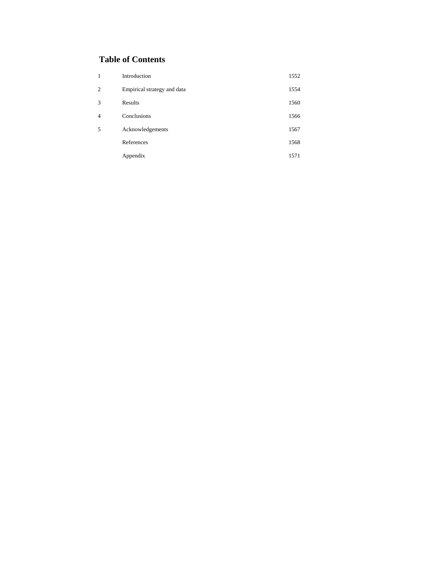# **Table of Contents**

| 1              | Introduction                | 1552 |
|----------------|-----------------------------|------|
| $\overline{c}$ | Empirical strategy and data | 1554 |
| 3              | Results                     | 1560 |
| $\overline{4}$ | Conclusions                 | 1566 |
| 5              | Acknowledgements            | 1567 |
|                | References                  | 1568 |
|                | Appendix                    | 1571 |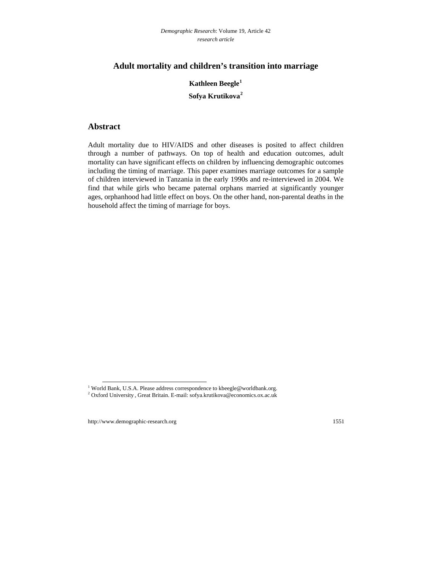## **Adult mortality and children's transition into marriage**

**Kathleen Beegle[1](#page-2-0) Sofya Krutikova[2](#page-2-1)**

### **Abstract**

Adult mortality due to HIV/AIDS and other diseases is posited to affect children through a number of pathways. On top of health and education outcomes, adult mortality can have significant effects on children by influencing demographic outcomes including the timing of marriage. This paper examines marriage outcomes for a sample of children interviewed in Tanzania in the early 1990s and re-interviewed in 2004. We find that while girls who became paternal orphans married at significantly younger ages, orphanhood had little effect on boys. On the other hand, non-parental deaths in the household affect the timing of marriage for boys.

<sup>&</sup>lt;sup>1</sup> World Bank, U.S.A. Please address correspondence to [kbeegle@worldbank.org](mailto:kbeegle@worldbank.org).<br><sup>2</sup> Oxford University, Graet Pritcin, E. mail: softs krutikove@eeonomies.org.com

<span id="page-2-1"></span><span id="page-2-0"></span>Oxford University , Great Britain. E-mail: [sofya.krutikova@economics.ox.ac.uk](mailto:sofya.krutikova@economics.ox.ac.uk)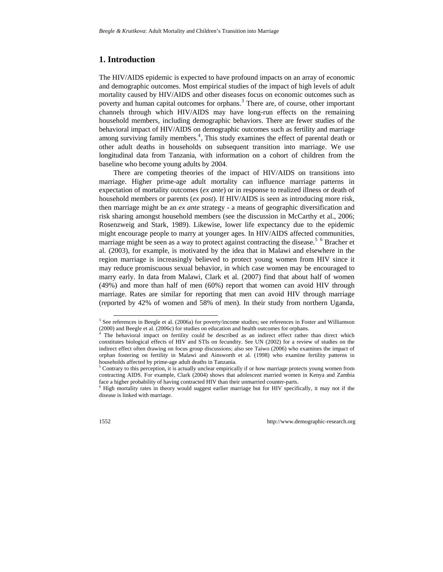## **1. Introduction**

The HIV/AIDS epidemic is expected to have profound impacts on an array of economic and demographic outcomes. Most empirical studies of the impact of high levels of adult mortality caused by HIV/AIDS and other diseases focus on economic outcomes such as poverty and human capital outcomes for orphans.<sup>[3](#page-3-0)</sup> There are, of course, other important channels through which HIV/AIDS may have long-run effects on the remaining household members, including demographic behaviors. There are fewer studies of the behavioral impact of HIV/AIDS on demographic outcomes such as fertility and marriage among surviving family members.<sup>[4](#page-3-1)</sup>, This study examines the effect of parental death or other adult deaths in households on subsequent transition into marriage. We use longitudinal data from Tanzania, with information on a cohort of children from the baseline who become young adults by 2004.

There are competing theories of the impact of HIV/AIDS on transitions into marriage. Higher prime-age adult mortality can influence marriage patterns in expectation of mortality outcomes (*ex ante*) or in response to realized illness or death of household members or parents (*ex post*). If HIV/AIDS is seen as introducing more risk, then marriage might be an *ex ante* strategy - a means of geographic diversification and risk sharing amongst household members (see the discussion in McCarthy et al., 2006; Rosenzweig and Stark, 1989). Likewise, lower life expectancy due to the epidemic might encourage people to marry at younger ages. In HIV/AIDS affected communities, marriage might be seen as a way to protect against contracting the disease.<sup>[5](#page-3-2) [6](#page-3-3)</sup> Bracher et al*.* (2003), for example, is motivated by the idea that in Malawi and elsewhere in the region marriage is increasingly believed to protect young women from HIV since it may reduce promiscuous sexual behavior, in which case women may be encouraged to marry early. In data from Malawi, Clark et al. (2007) find that about half of women (49%) and more than half of men (60%) report that women can avoid HIV through marriage. Rates are similar for reporting that men can avoid HIV through marriage (reported by 42% of women and 58% of men). In their study from northern Uganda,

<sup>&</sup>lt;sup>3</sup> See references in Beegle et al. (2006a) for poverty/income studies; see references in Foster and Williamson (2000) and Beegle et al*.* (2006c) for studies on education and health outcomes for orphans. 4

<sup>&</sup>lt;sup>4</sup> The behavioral impact on fertility could be described as an indirect effect rather than direct which constitutes biological effects of HIV and STIs on fecundity. See UN (2002) for a review of studies on the indirect effect often drawing on focus group discussions; also see Taiwo (2006) who examines the impact of orphan fostering on fertility in Malawi and Ainsworth et al*.* (1998) who examine fertility patterns in households affected by prime-age adult deaths in Tanzania.

<sup>&</sup>lt;sup>5</sup> Contrary to this perception, it is actually unclear empirically if or how marriage protects young women from contracting AIDS. For example, Clark (2004) shows that adolescent married women in Kenya and Zambia face a higher probability of having contracted HIV than their unmarried counter-parts.

<span id="page-3-3"></span><span id="page-3-2"></span><span id="page-3-1"></span><span id="page-3-0"></span> $\delta$  High mortality rates in theory would suggest earlier marriage but for HIV specifically, it may not if the disease is linked with marriage.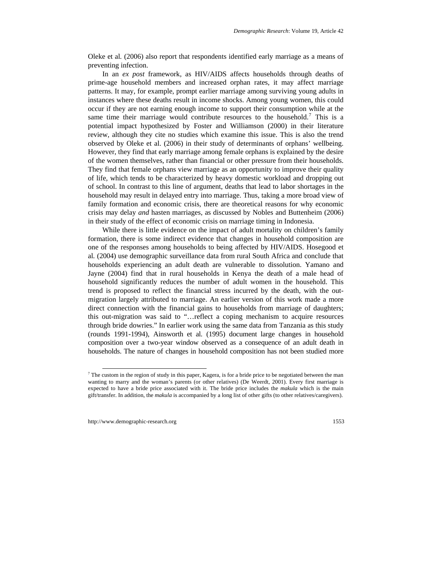Oleke et al*.* (2006) also report that respondents identified early marriage as a means of preventing infection.

In an *ex post* framework, as HIV/AIDS affects households through deaths of prime-age household members and increased orphan rates, it may affect marriage patterns. It may, for example, prompt earlier marriage among surviving young adults in instances where these deaths result in income shocks. Among young women, this could occur if they are not earning enough income to support their consumption while at the same time their marriage would contribute resources to the household.<sup>[7](#page-4-0)</sup> This is a potential impact hypothesized by Foster and Williamson (2000) in their literature review, although they cite no studies which examine this issue. This is also the trend observed by Oleke et al. (2006) in their study of determinants of orphans' wellbeing. However, they find that early marriage among female orphans is explained by the desire of the women themselves, rather than financial or other pressure from their households. They find that female orphans view marriage as an opportunity to improve their quality of life, which tends to be characterized by heavy domestic workload and dropping out of school. In contrast to this line of argument, deaths that lead to labor shortages in the household may result in delayed entry into marriage. Thus, taking a more broad view of family formation and economic crisis, there are theoretical reasons for why economic crisis may delay *and* hasten marriages, as discussed by Nobles and Buttenheim (2006) in their study of the effect of economic crisis on marriage timing in Indonesia.

While there is little evidence on the impact of adult mortality on children's family formation, there is some indirect evidence that changes in household composition are one of the responses among households to being affected by HIV/AIDS. Hosegood et al*.* (2004) use demographic surveillance data from rural South Africa and conclude that households experiencing an adult death are vulnerable to dissolution. Yamano and Jayne (2004) find that in rural households in Kenya the death of a male head of household significantly reduces the number of adult women in the household. This trend is proposed to reflect the financial stress incurred by the death, with the outmigration largely attributed to marriage. An earlier version of this work made a more direct connection with the financial gains to households from marriage of daughters; this out-migration was said to "…reflect a coping mechanism to acquire resources through bride dowries." In earlier work using the same data from Tanzania as this study (rounds 1991-1994), Ainsworth et al*.* (1995) document large changes in household composition over a two-year window observed as a consequence of an adult death in households. The nature of changes in household composition has not been studied more

<span id="page-4-0"></span> $<sup>7</sup>$  The custom in the region of study in this paper, Kagera, is for a bride price to be negotiated between the man</sup> wanting to marry and the woman's parents (or other relatives) (De Weerdt, 2001). Every first marriage is expected to have a bride price associated with it. The bride price includes the *makula* which is the main gift/transfer. In addition, the *makula* is accompanied by a long list of other gifts (to other relatives/caregivers).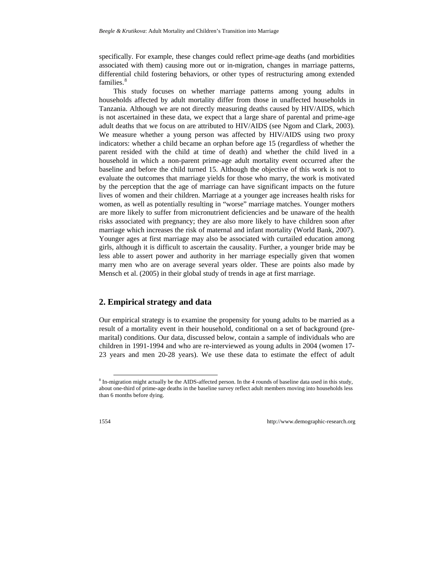specifically. For example, these changes could reflect prime-age deaths (and morbidities associated with them) causing more out or in-migration, changes in marriage patterns, differential child fostering behaviors, or other types of restructuring among extended families.<sup>[8](#page-5-0)</sup>

This study focuses on whether marriage patterns among young adults in households affected by adult mortality differ from those in unaffected households in Tanzania. Although we are not directly measuring deaths caused by HIV/AIDS, which is not ascertained in these data, we expect that a large share of parental and prime-age adult deaths that we focus on are attributed to HIV/AIDS (see Ngom and Clark, 2003). We measure whether a young person was affected by HIV/AIDS using two proxy indicators: whether a child became an orphan before age 15 (regardless of whether the parent resided with the child at time of death) and whether the child lived in a household in which a non-parent prime-age adult mortality event occurred after the baseline and before the child turned 15. Although the objective of this work is not to evaluate the outcomes that marriage yields for those who marry, the work is motivated by the perception that the age of marriage can have significant impacts on the future lives of women and their children. Marriage at a younger age increases health risks for women, as well as potentially resulting in "worse" marriage matches. Younger mothers are more likely to suffer from micronutrient deficiencies and be unaware of the health risks associated with pregnancy; they are also more likely to have children soon after marriage which increases the risk of maternal and infant mortality (World Bank, 2007). Younger ages at first marriage may also be associated with curtailed education among girls, although it is difficult to ascertain the causality. Further, a younger bride may be less able to assert power and authority in her marriage especially given that women marry men who are on average several years older. These are points also made by Mensch et al. (2005) in their global study of trends in age at first marriage.

## **2. Empirical strategy and data**

Our empirical strategy is to examine the propensity for young adults to be married as a result of a mortality event in their household, conditional on a set of background (premarital) conditions. Our data, discussed below, contain a sample of individuals who are children in 1991-1994 and who are re-interviewed as young adults in 2004 (women 17- 23 years and men 20-28 years). We use these data to estimate the effect of adult

<span id="page-5-0"></span><sup>&</sup>lt;sup>8</sup> In-migration might actually be the AIDS-affected person. In the 4 rounds of baseline data used in this study, about one-third of prime-age deaths in the baseline survey reflect adult members moving into households less than 6 months before dying.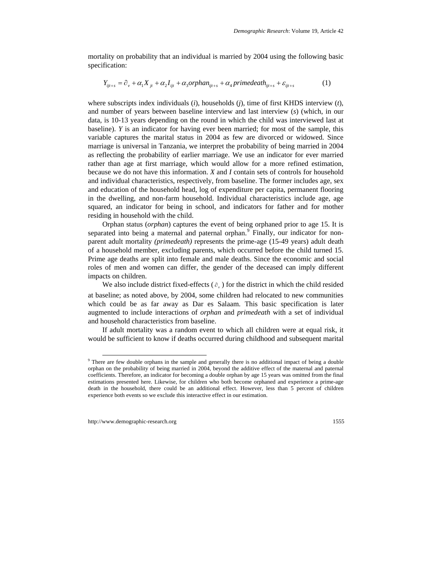mortality on probability that an individual is married by 2004 using the following basic specification:

$$
Y_{ijt+s} = \partial_y + \alpha_1 X_{jt} + \alpha_2 I_{ijt} + \alpha_3 orphan_{ijt+s} + \alpha_4 prime death_{ijt+s} + \varepsilon_{ijt+s}
$$
 (1)

where subscripts index individuals (*i*), households (*j*), time of first KHDS interview (*t*), and number of years between baseline interview and last interview (*s*) (which, in our data, is 10-13 years depending on the round in which the child was interviewed last at baseline). *Y* is an indicator for having ever been married; for most of the sample, this variable captures the marital status in 2004 as few are divorced or widowed. Since marriage is universal in Tanzania, we interpret the probability of being married in 2004 as reflecting the probability of earlier marriage. We use an indicator for ever married rather than age at first marriage, which would allow for a more refined estimation, because we do not have this information. *X* and *I* contain sets of controls for household and individual characteristics, respectively, from baseline. The former includes age, sex and education of the household head, log of expenditure per capita, permanent flooring in the dwelling, and non-farm household. Individual characteristics include age, age squared, an indicator for being in school, and indicators for father and for mother residing in household with the child.

Orphan status (*orphan*) captures the event of being orphaned prior to age 15. It is separated into being a maternal and paternal orphan.<sup>[9](#page-6-0)</sup> Finally, our indicator for nonparent adult mortality *(primedeath)* represents the prime-age (15-49 years) adult death of a household member, excluding parents, which occurred before the child turned 15. Prime age deaths are split into female and male deaths. Since the economic and social roles of men and women can differ, the gender of the deceased can imply different impacts on children.

We also include district fixed-effects  $(\partial_{\nu})$  for the district in which the child resided at baseline; as noted above, by 2004, some children had relocated to new communities which could be as far away as Dar es Salaam. This basic specification is later augmented to include interactions of *orphan* and *primedeath* with a set of individual and household characteristics from baseline.

If adult mortality was a random event to which all children were at equal risk, it would be sufficient to know if deaths occurred during childhood and subsequent marital

<span id="page-6-0"></span><sup>&</sup>lt;sup>9</sup> There are few double orphans in the sample and generally there is no additional impact of being a double orphan on the probability of being married in 2004, beyond the additive effect of the maternal and paternal coefficients. Therefore, an indicator for becoming a double orphan by age 15 years was omitted from the final estimations presented here. Likewise, for children who both become orphaned and experience a prime-age death in the household, there could be an additional effect. However, less than 5 percent of children experience both events so we exclude this interactive effect in our estimation.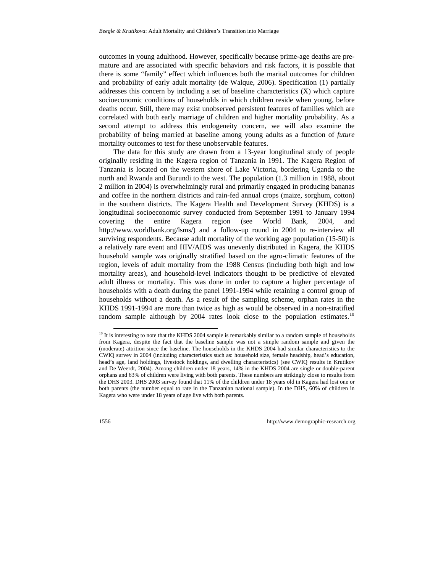outcomes in young adulthood. However, specifically because prime-age deaths are premature and are associated with specific behaviors and risk factors, it is possible that there is some "family" effect which influences both the marital outcomes for children and probability of early adult mortality (de Walque, 2006). Specification (1) partially addresses this concern by including a set of baseline characteristics (X) which capture socioeconomic conditions of households in which children reside when young, before deaths occur. Still, there may exist unobserved persistent features of families which are correlated with both early marriage of children and higher mortality probability. As a second attempt to address this endogeneity concern, we will also examine the probability of being married at baseline among young adults as a function of *future*  mortality outcomes to test for these unobservable features.

The data for this study are drawn from a 13-year longitudinal study of people originally residing in the Kagera region of Tanzania in 1991. The Kagera Region of Tanzania is located on the western shore of Lake Victoria, bordering Uganda to the north and Rwanda and Burundi to the west. The population (1.3 million in 1988, about 2 million in 2004) is overwhelmingly rural and primarily engaged in producing bananas and coffee in the northern districts and rain-fed annual crops (maize, sorghum, cotton) in the southern districts. The Kagera Health and Development Survey (KHDS) is a longitudinal socioeconomic survey conducted from September 1991 to January 1994 covering the entire Kagera region (see World Bank, 2004, and http://www.worldbank.org/lsms/) and a follow-up round in 2004 to re-interview all surviving respondents. Because adult mortality of the working age population (15-50) is a relatively rare event and HIV/AIDS was unevenly distributed in Kagera, the KHDS household sample was originally stratified based on the agro-climatic features of the region, levels of adult mortality from the 1988 Census (including both high and low mortality areas), and household-level indicators thought to be predictive of elevated adult illness or mortality. This was done in order to capture a higher percentage of households with a death during the panel 1991-1994 while retaining a control group of households without a death. As a result of the sampling scheme, orphan rates in the KHDS 1991-1994 are more than twice as high as would be observed in a non-stratified random sample although by 2004 rates look close to the population estimates.<sup>[10](#page-7-0)</sup>

<span id="page-7-0"></span> $10$  It is interesting to note that the KHDS 2004 sample is remarkably similar to a random sample of households from Kagera, despite the fact that the baseline sample was not a simple random sample and given the (moderate) attrition since the baseline. The households in the KHDS 2004 had similar characteristics to the CWIQ survey in 2004 (including characteristics such as: household size, female headship, head's education, head's age, land holdings, livestock holdings, and dwelling characteristics) (see CWIQ results in Krutikov and De Weerdt, 2004). Among children under 18 years, 14% in the KHDS 2004 are single or double-parent orphans and 63% of children were living with both parents. These numbers are strikingly close to results from the DHS 2003. DHS 2003 survey found that 11% of the children under 18 years old in Kagera had lost one or both parents (the number equal to rate in the Tanzanian national sample). In the DHS, 60% of children in Kagera who were under 18 years of age live with both parents.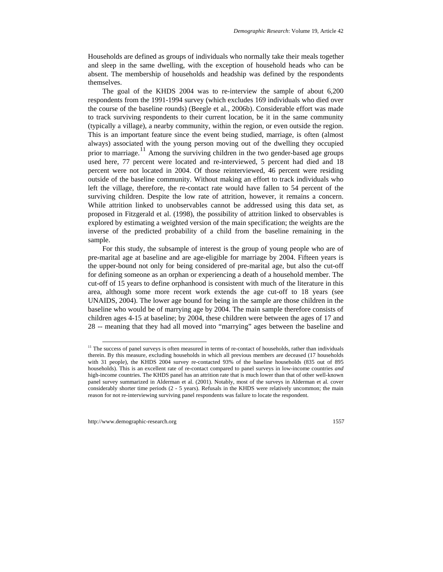Households are defined as groups of individuals who normally take their meals together and sleep in the same dwelling, with the exception of household heads who can be absent. The membership of households and headship was defined by the respondents themselves.

The goal of the KHDS 2004 was to re-interview the sample of about 6,200 respondents from the 1991-1994 survey (which excludes 169 individuals who died over the course of the baseline rounds) (Beegle et al*.,* 2006b). Considerable effort was made to track surviving respondents to their current location, be it in the same community (typically a village), a nearby community, within the region, or even outside the region. This is an important feature since the event being studied, marriage, is often (almost always) associated with the young person moving out of the dwelling they occupied prior to marriage.<sup>[11](#page-8-0)</sup> Among the surviving children in the two gender-based age groups used here, 77 percent were located and re-interviewed, 5 percent had died and 18 percent were not located in 2004. Of those reinterviewed, 46 percent were residing outside of the baseline community. Without making an effort to track individuals who left the village, therefore, the re-contact rate would have fallen to 54 percent of the surviving children. Despite the low rate of attrition, however, it remains a concern. While attrition linked to unobservables cannot be addressed using this data set, as proposed in Fitzgerald et al. (1998), the possibility of attrition linked to observables is explored by estimating a weighted version of the main specification; the weights are the inverse of the predicted probability of a child from the baseline remaining in the sample.

For this study, the subsample of interest is the group of young people who are of pre-marital age at baseline and are age-eligible for marriage by 2004. Fifteen years is the upper-bound not only for being considered of pre-marital age, but also the cut-off for defining someone as an orphan or experiencing a death of a household member. The cut-off of 15 years to define orphanhood is consistent with much of the literature in this area, although some more recent work extends the age cut-off to 18 years (see UNAIDS, 2004). The lower age bound for being in the sample are those children in the baseline who would be of marrying age by 2004. The main sample therefore consists of children ages 4-15 at baseline; by 2004, these children were between the ages of 17 and 28 -- meaning that they had all moved into "marrying" ages between the baseline and

<span id="page-8-0"></span> $11$  The success of panel surveys is often measured in terms of re-contact of households, rather than individuals therein. By this measure, excluding households in which all previous members are deceased (17 households with 31 people), the KHDS 2004 survey re-contacted 93% of the baseline households (835 out of 895 households). This is an excellent rate of re-contact compared to panel surveys in low-income countries *and* high-income countries. The KHDS panel has an attrition rate that is much lower than that of other well-known panel survey summarized in Alderman et al. (2001). Notably, most of the surveys in Alderman et al*.* cover considerably shorter time periods (2 - 5 years). Refusals in the KHDS were relatively uncommon; the main reason for not re-interviewing surviving panel respondents was failure to locate the respondent.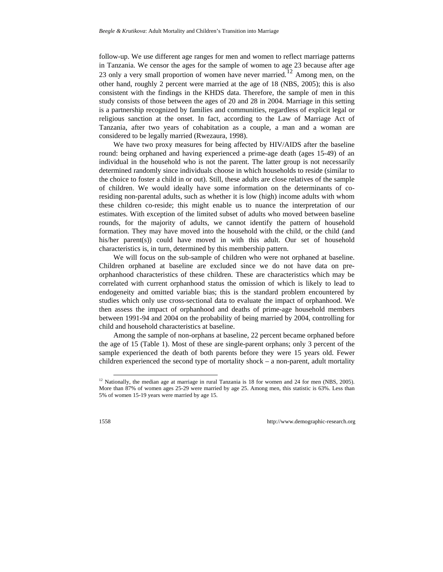follow-up. We use different age ranges for men and women to reflect marriage patterns in Tanzania. We censor the ages for the sample of women to age 23 because after age 23 only a very small proportion of women have never married.<sup>[12](#page-9-0)</sup> Among men, on the other hand, roughly 2 percent were married at the age of 18 (NBS, 2005); this is also consistent with the findings in the KHDS data. Therefore, the sample of men in this study consists of those between the ages of 20 and 28 in 2004. Marriage in this setting is a partnership recognized by families and communities, regardless of explicit legal or religious sanction at the onset. In fact, according to the Law of Marriage Act of Tanzania, after two years of cohabitation as a couple, a man and a woman are considered to be legally married (Rwezaura, 1998).

We have two proxy measures for being affected by HIV/AIDS after the baseline round: being orphaned and having experienced a prime-age death (ages 15-49) of an individual in the household who is not the parent. The latter group is not necessarily determined randomly since individuals choose in which households to reside (similar to the choice to foster a child in or out). Still, these adults are close relatives of the sample of children. We would ideally have some information on the determinants of coresiding non-parental adults, such as whether it is low (high) income adults with whom these children co-reside; this might enable us to nuance the interpretation of our estimates. With exception of the limited subset of adults who moved between baseline rounds, for the majority of adults, we cannot identify the pattern of household formation. They may have moved into the household with the child, or the child (and his/her parent(s)) could have moved in with this adult. Our set of household characteristics is, in turn, determined by this membership pattern.

We will focus on the sub-sample of children who were not orphaned at baseline. Children orphaned at baseline are excluded since we do not have data on preorphanhood characteristics of these children. These are characteristics which may be correlated with current orphanhood status the omission of which is likely to lead to endogeneity and omitted variable bias; this is the standard problem encountered by studies which only use cross-sectional data to evaluate the impact of orphanhood. We then assess the impact of orphanhood and deaths of prime-age household members between 1991-94 and 2004 on the probability of being married by 2004, controlling for child and household characteristics at baseline.

Among the sample of non-orphans at baseline, 22 percent became orphaned before the age of 15 (Table 1). Most of these are single-parent orphans; only 3 percent of the sample experienced the death of both parents before they were 15 years old. Fewer children experienced the second type of mortality shock – a non-parent, adult mortality

<span id="page-9-0"></span> $12$  Nationally, the median age at marriage in rural Tanzania is 18 for women and 24 for men (NBS, 2005). More than 87% of women ages 25-29 were married by age 25. Among men, this statistic is 63%. Less than 5% of women 15-19 years were married by age 15.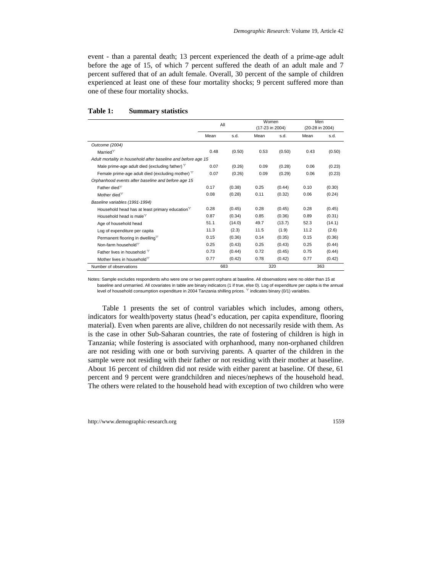event - than a parental death; 13 percent experienced the death of a prime-age adult before the age of 15, of which 7 percent suffered the death of an adult male and 7 percent suffered that of an adult female. Overall, 30 percent of the sample of children experienced at least one of these four mortality shocks; 9 percent suffered more than one of these four mortality shocks.

|                                                               | All  |        | Women<br>(17-23 in 2004) |        | Men<br>(20-28 in 2004) |        |
|---------------------------------------------------------------|------|--------|--------------------------|--------|------------------------|--------|
|                                                               | Mean | s.d.   | Mean                     | s.d.   | Mean                   | s.d.   |
| Outcome (2004)                                                |      |        |                          |        |                        |        |
| Married $\mathcal V$                                          | 0.48 | (0.50) | 0.53                     | (0.50) | 0.43                   | (0.50) |
| Adult mortality in household after baseline and before age 15 |      |        |                          |        |                        |        |
| Male prime-age adult died (excluding father) $\gamma$         | 0.07 | (0.26) | 0.09                     | (0.28) | 0.06                   | (0.23) |
| Female prime-age adult died (excluding mother) $\gamma$       | 0.07 | (0.26) | 0.09                     | (0.29) | 0.06                   | (0.23) |
| Orphanhood events after baseline and before age 15            |      |        |                          |        |                        |        |
| Father died $\gamma$                                          | 0.17 | (0.38) | 0.25                     | (0.44) | 0.10                   | (0.30) |
| Mother died $\gamma$                                          | 0.08 | (0.28) | 0.11                     | (0.32) | 0.06                   | (0.24) |
| Baseline variables (1991-1994)                                |      |        |                          |        |                        |        |
| Household head has at least primary education <sup>T</sup>    | 0.28 | (0.45) | 0.28                     | (0.45) | 0.28                   | (0.45) |
| Household head is male $\gamma$                               | 0.87 | (0.34) | 0.85                     | (0.36) | 0.89                   | (0.31) |
| Age of household head                                         | 51.1 | (14.0) | 49.7                     | (13.7) | 52.3                   | (14.1) |
| Log of expenditure per capita                                 | 11.3 | (2.3)  | 11.5                     | (1.9)  | 11.2                   | (2.6)  |
| Permanent flooring in dwelling $\gamma$                       | 0.15 | (0.36) | 0.14                     | (0.35) | 0.15                   | (0.36) |
| Non-farm household $\gamma$                                   | 0.25 | (0.43) | 0.25                     | (0.43) | 0.25                   | (0.44) |
| Father lives in household $\gamma$                            | 0.73 | (0.44) | 0.72                     | (0.45) | 0.75                   | (0.44) |
| Mother lives in household $\gamma$                            | 0.77 | (0.42) | 0.78                     | (0.42) | 0.77                   | (0.42) |
| Number of observations                                        |      | 683    | 320                      |        |                        | 363    |

#### **Table 1: Summary statistics**

Notes: Sample excludes respondents who were one or two parent orphans at baseline. All observations were no older than 15 at baseline and unmarried. All covariates in table are binary indicators (1 if true, else 0). Log of expenditure per capita is the annual level of household consumption expenditure in 2004 Tanzania shilling prices.  $\degree$  indicates binary (0/1) variables.

Table 1 presents the set of control variables which includes, among others, indicators for wealth/poverty status (head's education, per capita expenditure, flooring material). Even when parents are alive, children do not necessarily reside with them. As is the case in other Sub-Saharan countries, the rate of fostering of children is high in Tanzania; while fostering is associated with orphanhood, many non-orphaned children are not residing with one or both surviving parents. A quarter of the children in the sample were not residing with their father or not residing with their mother at baseline. About 16 percent of children did not reside with either parent at baseline. Of these, 61 percent and 9 percent were grandchildren and nieces/nephews of the household head. The others were related to the household head with exception of two children who were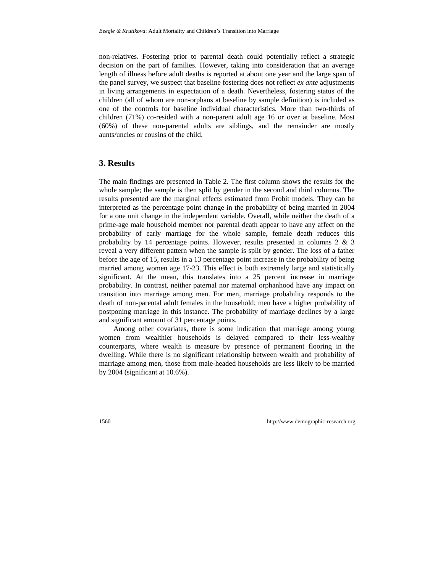non-relatives. Fostering prior to parental death could potentially reflect a strategic decision on the part of families. However, taking into consideration that an average length of illness before adult deaths is reported at about one year and the large span of the panel survey, we suspect that baseline fostering does not reflect *ex ante* adjustments in living arrangements in expectation of a death. Nevertheless, fostering status of the children (all of whom are non-orphans at baseline by sample definition) is included as one of the controls for baseline individual characteristics. More than two-thirds of children (71%) co-resided with a non-parent adult age 16 or over at baseline. Most (60%) of these non-parental adults are siblings, and the remainder are mostly aunts/uncles or cousins of the child.

## **3. Results**

The main findings are presented in Table 2. The first column shows the results for the whole sample; the sample is then split by gender in the second and third columns. The results presented are the marginal effects estimated from Probit models. They can be interpreted as the percentage point change in the probability of being married in 2004 for a one unit change in the independent variable. Overall, while neither the death of a prime-age male household member nor parental death appear to have any affect on the probability of early marriage for the whole sample, female death reduces this probability by 14 percentage points. However, results presented in columns 2 & 3 reveal a very different pattern when the sample is split by gender. The loss of a father before the age of 15, results in a 13 percentage point increase in the probability of being married among women age 17-23. This effect is both extremely large and statistically significant. At the mean, this translates into a 25 percent increase in marriage probability. In contrast, neither paternal nor maternal orphanhood have any impact on transition into marriage among men. For men, marriage probability responds to the death of non-parental adult females in the household; men have a higher probability of postponing marriage in this instance. The probability of marriage declines by a large and significant amount of 31 percentage points.

Among other covariates, there is some indication that marriage among young women from wealthier households is delayed compared to their less-wealthy counterparts, where wealth is measure by presence of permanent flooring in the dwelling. While there is no significant relationship between wealth and probability of marriage among men, those from male-headed households are less likely to be married by 2004 (significant at 10.6%).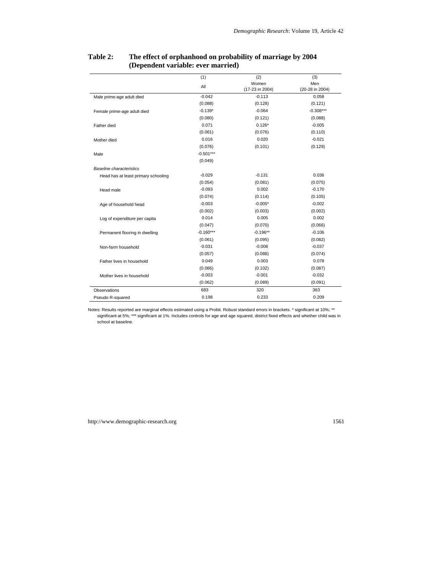|                                     | (1)         | (2)             | (3)             |
|-------------------------------------|-------------|-----------------|-----------------|
|                                     | All         | Women           | Men             |
|                                     |             | (17-23 in 2004) | (20-28 in 2004) |
| Male prime-age adult died           | $-0.042$    | $-0.113$        | 0.058           |
|                                     | (0.088)     | (0.128)         | (0.121)         |
| Female prime-age adult died         | $-0.139*$   | $-0.064$        | $-0.308***$     |
|                                     | (0.080)     | (0.121)         | (0.088)         |
| Father died                         | 0.071       | $0.126*$        | $-0.005$        |
|                                     | (0.061)     | (0.076)         | (0.110)         |
| Mother died                         | 0.016       | 0.020           | $-0.021$        |
|                                     | (0.076)     | (0.101)         | (0.129)         |
| Male                                | $-0.501***$ |                 |                 |
|                                     | (0.049)     |                 |                 |
| Baseline characteristics            |             |                 |                 |
| Head has at least primary schooling | $-0.029$    | $-0.131$        | 0.036           |
|                                     | (0.054)     | (0.081)         | (0.075)         |
| Head male                           | $-0.093$    | 0.002           | $-0.170$        |
|                                     | (0.074)     | (0.114)         | (0.105)         |
| Age of household head               | $-0.003$    | $-0.005*$       | $-0.002$        |
|                                     | (0.002)     | (0.003)         | (0.002)         |
| Log of expenditure per capita       | 0.014       | 0.005           | 0.002           |
|                                     | (0.047)     | (0.070)         | (0.066)         |
| Permanent flooring in dwelling      | $-0.160***$ | $-0.196**$      | $-0.106$        |
|                                     | (0.061)     | (0.095)         | (0.082)         |
| Non-farm household                  | $-0.031$    | $-0.008$        | $-0.037$        |
|                                     | (0.057)     | (0.088)         | (0.074)         |
| Father lives in household           | 0.049       | 0.003           | 0.078           |
|                                     | (0.066)     | (0.102)         | (0.087)         |
| Mother lives in household           | $-0.003$    | $-0.001$        | $-0.032$        |
|                                     | (0.062)     | (0.089)         | (0.091)         |
| <b>Observations</b>                 | 683         | 320             | 363             |
| Pseudo R-squared                    | 0.198       | 0.233           | 0.209           |

#### **Table 2: The effect of orphanhood on probability of marriage by 2004 (Dependent variable: ever married)**

Notes: Results reported are marginal effects estimated using a Probit. Robust standard errors in brackets. \* significant at 10%; \*\* significant at 5%; \*\*\* significant at 1%. Includes controls for age and age squared, district fixed effects and whether child was in school at baseline.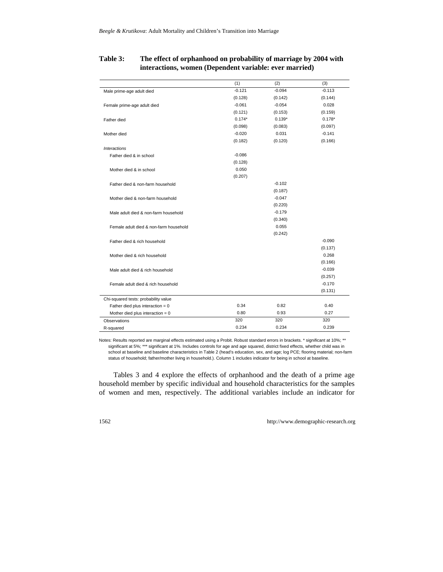|                                        | (1)      | (2)      | (3)      |
|----------------------------------------|----------|----------|----------|
| Male prime-age adult died              | $-0.121$ | $-0.094$ | $-0.113$ |
|                                        | (0.128)  | (0.142)  | (0.144)  |
| Female prime-age adult died            | $-0.061$ | $-0.054$ | 0.028    |
|                                        | (0.121)  | (0.153)  | (0.159)  |
| Father died                            | $0.174*$ | $0.139*$ | $0.178*$ |
|                                        | (0.098)  | (0.083)  | (0.097)  |
| Mother died                            | $-0.020$ | 0.031    | $-0.141$ |
|                                        | (0.182)  | (0.120)  | (0.166)  |
| <b>Interactions</b>                    |          |          |          |
| Father died & in school                | $-0.086$ |          |          |
|                                        | (0.128)  |          |          |
| Mother died & in school                | 0.050    |          |          |
|                                        | (0.207)  |          |          |
| Father died & non-farm household       |          | $-0.102$ |          |
|                                        |          | (0.187)  |          |
| Mother died & non-farm household       |          | $-0.047$ |          |
|                                        |          | (0.220)  |          |
| Male adult died & non-farm household   |          | $-0.179$ |          |
|                                        |          | (0.340)  |          |
| Female adult died & non-farm household |          | 0.055    |          |
|                                        |          | (0.242)  |          |
| Father died & rich household           |          |          | $-0.090$ |
|                                        |          |          | (0.137)  |
| Mother died & rich household           |          |          | 0.268    |
|                                        |          |          | (0.166)  |
| Male adult died & rich household       |          |          | $-0.039$ |
|                                        |          |          | (0.257)  |
| Female adult died & rich household     |          |          | $-0.170$ |
|                                        |          |          | (0.131)  |
| Chi-squared tests: probability value   |          |          |          |
| Father died plus interaction = $0$     | 0.34     | 0.82     | 0.40     |
| Mother died plus interaction $= 0$     | 0.80     | 0.93     | 0.27     |
| Observations                           | 320      | 320      | 320      |
| R-squared                              | 0.234    | 0.234    | 0.239    |

#### **Table 3: The effect of orphanhood on probability of marriage by 2004 with interactions, women (Dependent variable: ever married)**

Notes: Results reported are marginal effects estimated using a Probit. Robust standard errors in brackets. \* significant at 10%; \*\* significant at 5%; \*\*\* significant at 1%. Includes controls for age and age squared, district fixed effects, whether child was in school at baseline and baseline characteristics in Table 2 (head's education, sex, and age; log PCE; flooring material; non-farm status of household; father/mother living in household.). Column 1 includes indicator for being in school at baseline.

Tables 3 and 4 explore the effects of orphanhood and the death of a prime age household member by specific individual and household characteristics for the samples of women and men, respectively. The additional variables include an indicator for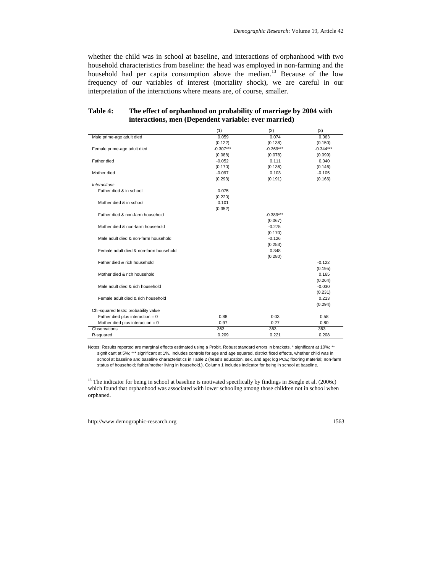whether the child was in school at baseline, and interactions of orphanhood with two household characteristics from baseline: the head was employed in non-farming and the household had per capita consumption above the median.<sup>[13](#page-14-0)</sup> Because of the low frequency of our variables of interest (mortality shock), we are careful in our interpretation of the interactions where means are, of course, smaller.

|                                        | (1)         | (2)         | (3)         |
|----------------------------------------|-------------|-------------|-------------|
| Male prime-age adult died              | 0.059       | 0.074       | 0.063       |
|                                        | (0.122)     | (0.138)     | (0.150)     |
| Female prime-age adult died            | $-0.307***$ | $-0.369***$ | $-0.344***$ |
|                                        | (0.088)     | (0.078)     | (0.099)     |
| Father died                            | $-0.052$    | 0.111       | 0.040       |
|                                        | (0.170)     | (0.136)     | (0.146)     |
| Mother died                            | $-0.097$    | 0.103       | $-0.105$    |
|                                        | (0.293)     | (0.191)     | (0.166)     |
| <b>Interactions</b>                    |             |             |             |
| Father died & in school                | 0.075       |             |             |
|                                        | (0.220)     |             |             |
| Mother died & in school                | 0.101       |             |             |
|                                        | (0.352)     |             |             |
| Father died & non-farm household       |             | $-0.389***$ |             |
|                                        |             | (0.067)     |             |
| Mother died & non-farm household       |             | $-0.275$    |             |
|                                        |             | (0.170)     |             |
| Male adult died & non-farm household   |             | $-0.126$    |             |
|                                        |             | (0.253)     |             |
| Female adult died & non-farm household |             | 0.348       |             |
|                                        |             | (0.280)     |             |
| Father died & rich household           |             |             | $-0.122$    |
|                                        |             |             | (0.195)     |
| Mother died & rich household           |             |             | 0.165       |
|                                        |             |             | (0.264)     |
| Male adult died & rich household       |             |             | $-0.030$    |
|                                        |             |             | (0.231)     |
| Female adult died & rich household     |             |             | 0.213       |
|                                        |             |             | (0.294)     |
| Chi-squared tests: probability value   |             |             |             |
| Father died plus interaction $= 0$     | 0.88        | 0.03        | 0.58        |
| Mother died plus interaction $= 0$     | 0.97        | 0.27        | 0.80        |
| <b>Observations</b>                    | 363         | 363         | 363         |
| R-squared                              | 0.209       | 0.221       | 0.208       |

#### **Table 4: The effect of orphanhood on probability of marriage by 2004 with interactions, men (Dependent variable: ever married)**

Notes: Results reported are marginal effects estimated using a Probit. Robust standard errors in brackets. \* significant at 10%; \*\* significant at 5%; \*\*\* significant at 1%. Includes controls for age and age squared, district fixed effects, whether child was in school at baseline and baseline characteristics in Table 2 (head's education, sex, and age; log PCE; flooring material; non-farm status of household; father/mother living in household.). Column 1 includes indicator for being in school at baseline.

<span id="page-14-0"></span><sup>&</sup>lt;sup>13</sup> The indicator for being in school at baseline is motivated specifically by findings in Beegle et al. (2006c) which found that orphanhood was associated with lower schooling among those children not in school when orphaned.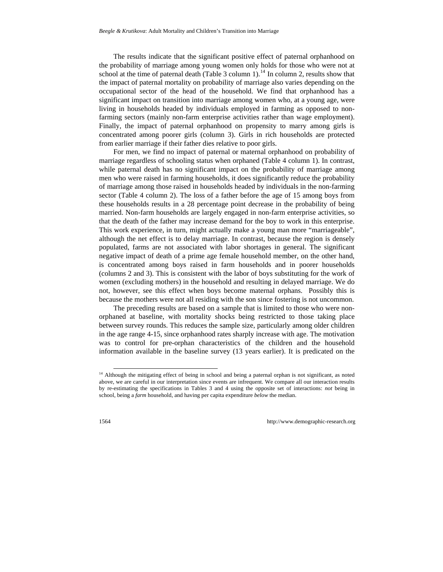The results indicate that the significant positive effect of paternal orphanhood on the probability of marriage among young women only holds for those who were not at school at the time of paternal death (Table 3 column 1).<sup>[14](#page-15-0)</sup> In column 2, results show that the impact of paternal mortality on probability of marriage also varies depending on the occupational sector of the head of the household. We find that orphanhood has a significant impact on transition into marriage among women who, at a young age, were living in households headed by individuals employed in farming as opposed to nonfarming sectors (mainly non-farm enterprise activities rather than wage employment). Finally, the impact of paternal orphanhood on propensity to marry among girls is concentrated among poorer girls (column 3). Girls in rich households are protected from earlier marriage if their father dies relative to poor girls.

For men, we find no impact of paternal or maternal orphanhood on probability of marriage regardless of schooling status when orphaned (Table 4 column 1). In contrast, while paternal death has no significant impact on the probability of marriage among men who were raised in farming households, it does significantly reduce the probability of marriage among those raised in households headed by individuals in the non-farming sector (Table 4 column 2). The loss of a father before the age of 15 among boys from these households results in a 28 percentage point decrease in the probability of being married. Non-farm households are largely engaged in non-farm enterprise activities, so that the death of the father may increase demand for the boy to work in this enterprise. This work experience, in turn, might actually make a young man more "marriageable", although the net effect is to delay marriage. In contrast, because the region is densely populated, farms are not associated with labor shortages in general. The significant negative impact of death of a prime age female household member, on the other hand, is concentrated among boys raised in farm households and in poorer households (columns 2 and 3). This is consistent with the labor of boys substituting for the work of women (excluding mothers) in the household and resulting in delayed marriage. We do not, however, see this effect when boys become maternal orphans. Possibly this is because the mothers were not all residing with the son since fostering is not uncommon.

The preceding results are based on a sample that is limited to those who were nonorphaned at baseline, with mortality shocks being restricted to those taking place between survey rounds. This reduces the sample size, particularly among older children in the age range 4-15, since orphanhood rates sharply increase with age. The motivation was to control for pre-orphan characteristics of the children and the household information available in the baseline survey (13 years earlier). It is predicated on the

<span id="page-15-0"></span><sup>&</sup>lt;sup>14</sup> Although the mitigating effect of being in school and being a paternal orphan is not significant, as noted above, we are careful in our interpretation since events are infrequent. We compare all our interaction results by re-estimating the specifications in Tables 3 and 4 using the opposite set of interactions: *not* being in school, being a *farm* household, and having per capita expenditure *below* the median.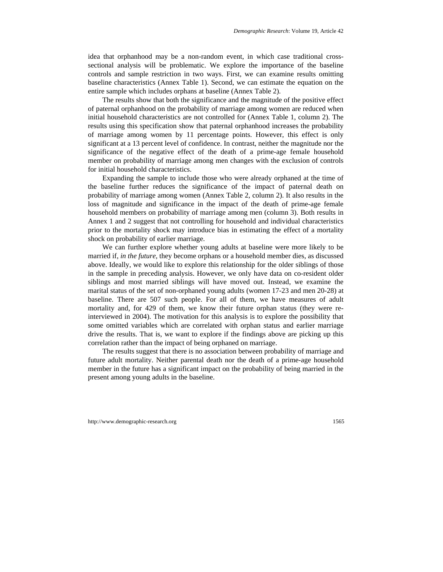idea that orphanhood may be a non-random event, in which case traditional crosssectional analysis will be problematic. We explore the importance of the baseline controls and sample restriction in two ways. First, we can examine results omitting baseline characteristics (Annex Table 1). Second, we can estimate the equation on the entire sample which includes orphans at baseline (Annex Table 2).

The results show that both the significance and the magnitude of the positive effect of paternal orphanhood on the probability of marriage among women are reduced when initial household characteristics are not controlled for (Annex Table 1, column 2). The results using this specification show that paternal orphanhood increases the probability of marriage among women by 11 percentage points. However, this effect is only significant at a 13 percent level of confidence. In contrast, neither the magnitude nor the significance of the negative effect of the death of a prime-age female household member on probability of marriage among men changes with the exclusion of controls for initial household characteristics.

Expanding the sample to include those who were already orphaned at the time of the baseline further reduces the significance of the impact of paternal death on probability of marriage among women (Annex Table 2, column 2). It also results in the loss of magnitude and significance in the impact of the death of prime-age female household members on probability of marriage among men (column 3). Both results in Annex 1 and 2 suggest that not controlling for household and individual characteristics prior to the mortality shock may introduce bias in estimating the effect of a mortality shock on probability of earlier marriage.

We can further explore whether young adults at baseline were more likely to be married if, *in the future,* they become orphans or a household member dies*,* as discussed above. Ideally, we would like to explore this relationship for the older siblings of those in the sample in preceding analysis. However, we only have data on co-resident older siblings and most married siblings will have moved out. Instead, we examine the marital status of the set of non-orphaned young adults (women 17-23 and men 20-28) at baseline. There are 507 such people. For all of them, we have measures of adult mortality and, for 429 of them, we know their future orphan status (they were reinterviewed in 2004). The motivation for this analysis is to explore the possibility that some omitted variables which are correlated with orphan status and earlier marriage drive the results. That is, we want to explore if the findings above are picking up this correlation rather than the impact of being orphaned on marriage.

The results suggest that there is no association between probability of marriage and future adult mortality. Neither parental death nor the death of a prime-age household member in the future has a significant impact on the probability of being married in the present among young adults in the baseline.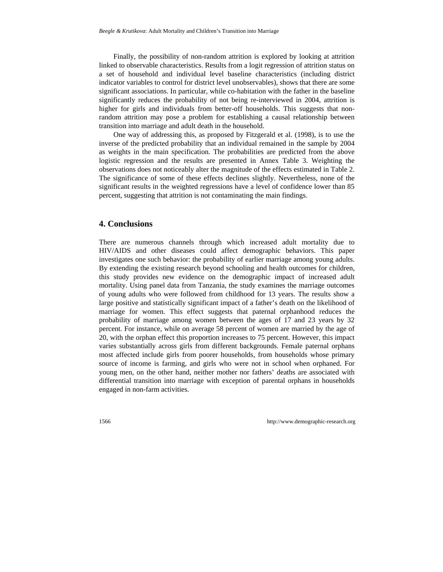Finally, the possibility of non-random attrition is explored by looking at attrition linked to observable characteristics. Results from a logit regression of attrition status on a set of household and individual level baseline characteristics (including district indicator variables to control for district level unobservables), shows that there are some significant associations. In particular, while co-habitation with the father in the baseline significantly reduces the probability of not being re-interviewed in 2004, attrition is higher for girls and individuals from better-off households. This suggests that nonrandom attrition may pose a problem for establishing a causal relationship between transition into marriage and adult death in the household.

One way of addressing this, as proposed by Fitzgerald et al. (1998), is to use the inverse of the predicted probability that an individual remained in the sample by 2004 as weights in the main specification. The probabilities are predicted from the above logistic regression and the results are presented in Annex Table 3. Weighting the observations does not noticeably alter the magnitude of the effects estimated in Table 2. The significance of some of these effects declines slightly. Nevertheless, none of the significant results in the weighted regressions have a level of confidence lower than 85 percent, suggesting that attrition is not contaminating the main findings.

### **4. Conclusions**

There are numerous channels through which increased adult mortality due to HIV/AIDS and other diseases could affect demographic behaviors. This paper investigates one such behavior: the probability of earlier marriage among young adults. By extending the existing research beyond schooling and health outcomes for children, this study provides new evidence on the demographic impact of increased adult mortality. Using panel data from Tanzania, the study examines the marriage outcomes of young adults who were followed from childhood for 13 years. The results show a large positive and statistically significant impact of a father's death on the likelihood of marriage for women. This effect suggests that paternal orphanhood reduces the probability of marriage among women between the ages of 17 and 23 years by 32 percent. For instance, while on average 58 percent of women are married by the age of 20, with the orphan effect this proportion increases to 75 percent. However, this impact varies substantially across girls from different backgrounds. Female paternal orphans most affected include girls from poorer households, from households whose primary source of income is farming, and girls who were not in school when orphaned. For young men, on the other hand, neither mother nor fathers' deaths are associated with differential transition into marriage with exception of parental orphans in households engaged in non-farm activities.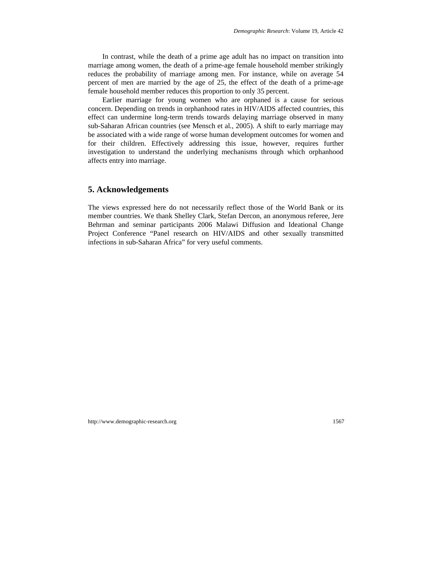In contrast, while the death of a prime age adult has no impact on transition into marriage among women, the death of a prime-age female household member strikingly reduces the probability of marriage among men. For instance, while on average 54 percent of men are married by the age of 25, the effect of the death of a prime-age female household member reduces this proportion to only 35 percent.

Earlier marriage for young women who are orphaned is a cause for serious concern. Depending on trends in orphanhood rates in HIV/AIDS affected countries, this effect can undermine long-term trends towards delaying marriage observed in many sub-Saharan African countries (see Mensch et al*.*, 2005). A shift to early marriage may be associated with a wide range of worse human development outcomes for women and for their children. Effectively addressing this issue, however, requires further investigation to understand the underlying mechanisms through which orphanhood affects entry into marriage.

### **5. Acknowledgements**

The views expressed here do not necessarily reflect those of the World Bank or its member countries. We thank Shelley Clark, Stefan Dercon, an anonymous referee, Jere Behrman and seminar participants 2006 Malawi Diffusion and Ideational Change Project Conference "Panel research on HIV/AIDS and other sexually transmitted infections in sub-Saharan Africa" for very useful comments.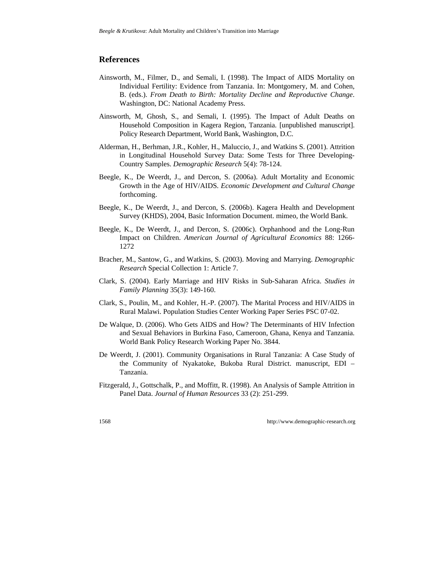#### **References**

- Ainsworth, M., Filmer, D., and Semali, I. (1998). The Impact of AIDS Mortality on Individual Fertility: Evidence from Tanzania. In: Montgomery, M. and Cohen, B. (eds.). *From Death to Birth: Mortality Decline and Reproductive Change*. Washington, DC: National Academy Press.
- Ainsworth, M, Ghosh, S., and Semali, I. (1995). The Impact of Adult Deaths on Household Composition in Kagera Region, Tanzania. [unpublished manuscript]. Policy Research Department, World Bank, Washington, D.C.
- Alderman, H., Berhman, J.R., Kohler, H., Maluccio, J., and Watkins S. (2001). Attrition in Longitudinal Household Survey Data: Some Tests for Three Developing-Country Samples. *Demographic Research* 5(4): 78-124.
- Beegle, K., De Weerdt, J., and Dercon, S. (2006a). Adult Mortality and Economic Growth in the Age of HIV/AIDS. *Economic Development and Cultural Change*  forthcoming.
- Beegle, K., De Weerdt, J., and Dercon, S. (2006b). Kagera Health and Development Survey (KHDS), 2004, Basic Information Document. mimeo, the World Bank.
- Beegle, K., De Weerdt, J., and Dercon, S. (2006c). Orphanhood and the Long-Run Impact on Children. *American Journal of Agricultural Economics* 88: 1266- 1272
- Bracher, M., Santow, G., and Watkins, S. (2003). Moving and Marrying. *Demographic Research* Special Collection 1: Article 7.
- Clark, S. (2004). Early Marriage and HIV Risks in Sub-Saharan Africa. *Studies in Family Planning* 35(3): 149-160.
- Clark, S., Poulin, M., and Kohler, H.-P. (2007). The Marital Process and HIV/AIDS in Rural Malawi. Population Studies Center Working Paper Series PSC 07-02.
- De Walque, D. (2006). Who Gets AIDS and How? The Determinants of HIV Infection and Sexual Behaviors in Burkina Faso, Cameroon, Ghana, Kenya and Tanzania. World Bank Policy Research Working Paper No. 3844.
- De Weerdt, J. (2001). Community Organisations in Rural Tanzania: A Case Study of the Community of Nyakatoke, Bukoba Rural District. manuscript, EDI – Tanzania.
- Fitzgerald, J., Gottschalk, P., and Moffitt, R. (1998). An Analysis of Sample Attrition in Panel Data. *Journal of Human Resources* 33 (2): 251-299.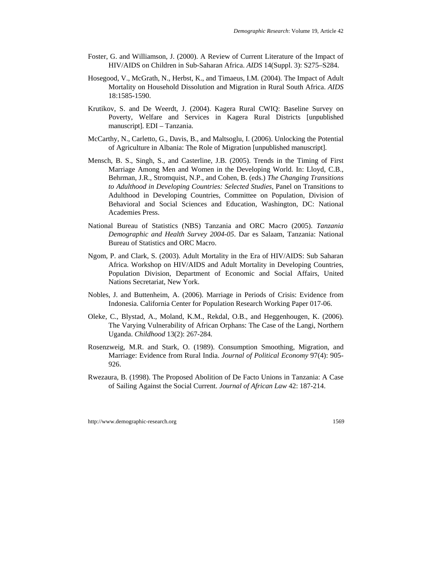- Foster, G. and Williamson, J. (2000). A Review of Current Literature of the Impact of HIV/AIDS on Children in Sub-Saharan Africa. *AIDS* 14(Suppl. 3): S275–S284.
- Hosegood, V., McGrath, N., Herbst, K., and Timaeus, I.M*.* (2004). The Impact of Adult Mortality on Household Dissolution and Migration in Rural South Africa. *AIDS* 18:1585-1590.
- Krutikov, S. and De Weerdt, J. (2004). Kagera Rural CWIQ: Baseline Survey on Poverty, Welfare and Services in Kagera Rural Districts [unpublished manuscript]. EDI – Tanzania.
- McCarthy, N., Carletto, G., Davis, B., and Maltsoglu, I. (2006). Unlocking the Potential of Agriculture in Albania: The Role of Migration [unpublished manuscript].
- Mensch, B. S., Singh, S., and Casterline, J.B. (2005). Trends in the Timing of First Marriage Among Men and Women in the Developing World. In: Lloyd, C.B., Behrman, J.R., Stromquist, N.P., and Cohen, B. (eds.) *The Changing Transitions to Adulthood in Developing Countries: Selected Studies*, Panel on Transitions to Adulthood in Developing Countries, Committee on Population, Division of Behavioral and Social Sciences and Education, Washington, DC: National Academies Press.
- National Bureau of Statistics (NBS) Tanzania and ORC Macro (2005). *Tanzania Demographic and Health Survey 2004-05*. Dar es Salaam, Tanzania: National Bureau of Statistics and ORC Macro.
- Ngom, P. and Clark, S. (2003). Adult Mortality in the Era of HIV/AIDS: Sub Saharan Africa. Workshop on HIV/AIDS and Adult Mortality in Developing Countries, Population Division, Department of Economic and Social Affairs, United Nations Secretariat, New York.
- Nobles, J. and Buttenheim, A. (2006). Marriage in Periods of Crisis: Evidence from Indonesia. California Center for Population Research Working Paper 017-06.
- Oleke, C., Blystad, A., Moland, K.M., Rekdal, O.B., and Heggenhougen, K. (2006). The Varying Vulnerability of African Orphans: The Case of the Langi, Northern Uganda. *Childhood* 13(2): 267-284.
- Rosenzweig, M.R. and Stark, O. (1989). Consumption Smoothing, Migration, and Marriage: Evidence from Rural India. *[Journal of Political Economy](http://ideas.repec.org/s/ucp/jpolec.html)* 97(4): 905- 926.
- Rwezaura, B. (1998). The Proposed Abolition of De Facto Unions in Tanzania: A Case of Sailing Against the Social Current. *Journal of African Law* 42: 187-214.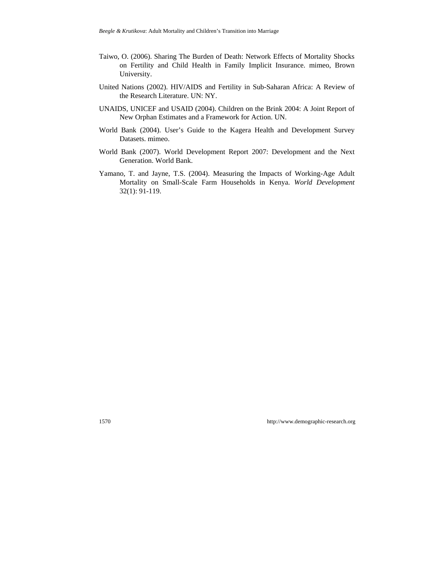- Taiwo, O. (2006). [Sharing The Burden of Death: Network Effects of Mortality Shocks](https://zeus.econ.umd.edu/cgi-bin/conference/download.cgi?db_name=NEUDC2006&paper_id=80)  [on Fertility and Child Health in Family Implicit Insurance.](https://zeus.econ.umd.edu/cgi-bin/conference/download.cgi?db_name=NEUDC2006&paper_id=80) mimeo, Brown University.
- United Nations (2002). HIV/AIDS and Fertility in Sub-Saharan Africa: A Review of the Research Literature. UN: NY.
- UNAIDS, UNICEF and USAID (2004). Children on the Brink 2004: A Joint Report of New Orphan Estimates and a Framework for Action. UN.
- World Bank (2004). User's Guide to the Kagera Health and Development Survey Datasets. mimeo.
- World Bank (2007). World Development Report 2007: Development and the Next Generation. World Bank.
- Yamano, T. and Jayne, T.S. (2004). Measuring the Impacts of Working-Age Adult Mortality on Small-Scale Farm Households in Kenya. *World Development* 32(1): 91-119.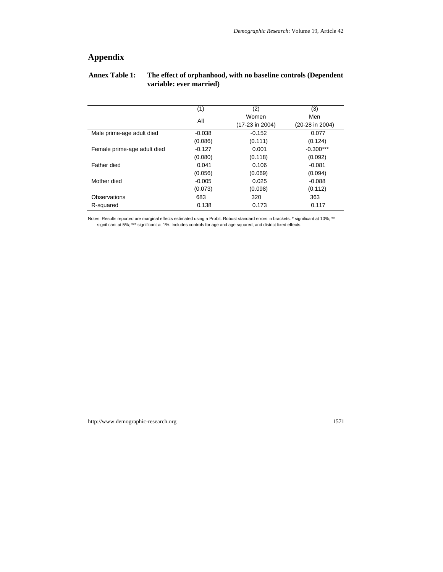# **Appendix**

#### **Annex Table 1: The effect of orphanhood, with no baseline controls (Dependent variable: ever married)**

|                             | (1)      | (2)             | (3)               |
|-----------------------------|----------|-----------------|-------------------|
|                             | All      | Women           | Men               |
|                             |          | (17-23 in 2004) | $(20-28$ in 2004) |
| Male prime-age adult died   | $-0.038$ | $-0.152$        | 0.077             |
|                             | (0.086)  | (0.111)         | (0.124)           |
| Female prime-age adult died | $-0.127$ | 0.001           | $-0.300***$       |
|                             | (0.080)  | (0.118)         | (0.092)           |
| Father died                 | 0.041    | 0.106           | $-0.081$          |
|                             | (0.056)  | (0.069)         | (0.094)           |
| Mother died                 | $-0.005$ | 0.025           | $-0.088$          |
|                             | (0.073)  | (0.098)         | (0.112)           |
| Observations                | 683      | 320             | 363               |
| R-squared                   | 0.138    | 0.173           | 0.117             |

Notes: Results reported are marginal effects estimated using a Probit. Robust standard errors in brackets. \* significant at 10%; \*\* significant at 5%; \*\*\* significant at 1%. Includes controls for age and age squared, and district fixed effects.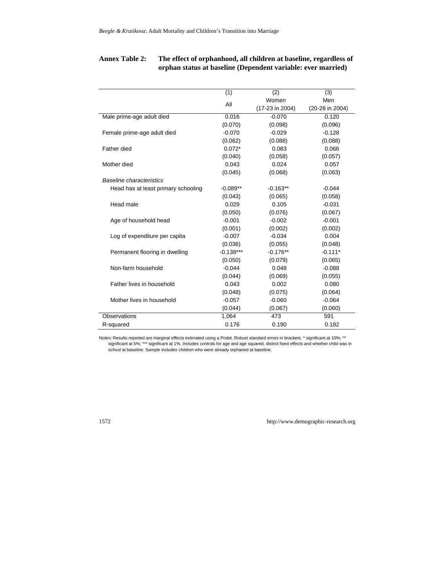### **Annex Table 2: The effect of orphanhood, all children at baseline, regardless of orphan status at baseline (Dependent variable: ever married)**

|                                     | (1)         | (2)             | (3)             |
|-------------------------------------|-------------|-----------------|-----------------|
|                                     | All         | Women           | Men             |
|                                     |             | (17-23 in 2004) | (20-28 in 2004) |
| Male prime-age adult died           | 0.016       | $-0.070$        | 0.120           |
|                                     | (0.070)     | (0.098)         | (0.096)         |
| Female prime-age adult died         | $-0.070$    | $-0.029$        | $-0.128$        |
|                                     | (0.062)     | (0.088)         | (0.088)         |
| Father died                         | $0.072*$    | 0.083           | 0.066           |
|                                     | (0.040)     | (0.058)         | (0.057)         |
| Mother died                         | 0.043       | 0.024           | 0.057           |
|                                     | (0.045)     | (0.068)         | (0.063)         |
| <b>Baseline characteristics</b>     |             |                 |                 |
| Head has at least primary schooling | $-0.089**$  | $-0.163**$      | $-0.044$        |
|                                     | (0.043)     | (0.065)         | (0.058)         |
| Head male                           | 0.029       | 0.105           | $-0.031$        |
|                                     | (0.050)     | (0.076)         | (0.067)         |
| Age of household head               | $-0.001$    | $-0.002$        | $-0.001$        |
|                                     | (0.001)     | (0.002)         | (0.002)         |
| Log of expenditure per capita       | $-0.007$    | $-0.034$        | 0.004           |
|                                     | (0.036)     | (0.055)         | (0.048)         |
| Permanent flooring in dwelling      | $-0.138***$ | $-0.176**$      | $-0.111*$       |
|                                     | (0.050)     | (0.079)         | (0.065)         |
| Non-farm household                  | $-0.044$    | 0.048           | $-0.088$        |
|                                     | (0.044)     | (0.069)         | (0.055)         |
| Father lives in household           | 0.043       | 0.002           | 0.080           |
|                                     | (0.048)     | (0.075)         | (0.064)         |
| Mother lives in household           | $-0.057$    | $-0.060$        | $-0.064$        |
|                                     | (0.044)     | (0.067)         | (0.060)         |
| Observations                        | 1,064       | 473             | 591             |
| R-squared                           | 0.176       | 0.190           | 0.182           |

Notes: Results reported are marginal effects estimated using a Probit. Robust standard errors in brackets. \* significant at 10%; \*\* significant at 5%; \*\*\* significant at 1%. Includes controls for age and age squared, district fixed effects and whether child was in school at baseline. Sample includes children who were already orphaned at baseline.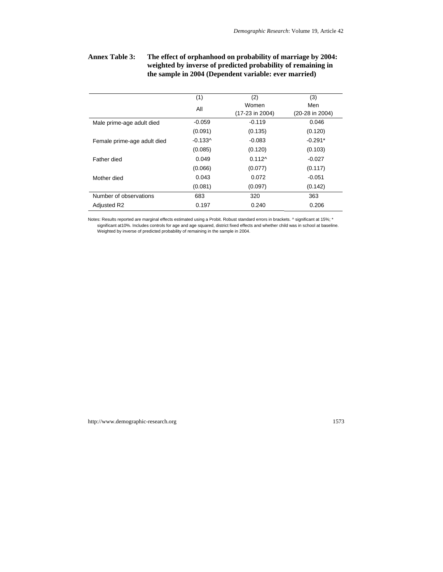### **Annex Table 3: The effect of orphanhood on probability of marriage by 2004: weighted by inverse of predicted probability of remaining in the sample in 2004 (Dependent variable: ever married)**

|                             | (1)       | (2)             | (3)             |
|-----------------------------|-----------|-----------------|-----------------|
|                             | All       | Women           | Men             |
|                             |           | (17-23 in 2004) | (20-28 in 2004) |
| Male prime-age adult died   | $-0.059$  | $-0.119$        | 0.046           |
|                             | (0.091)   | (0.135)         | (0.120)         |
| Female prime-age adult died | $-0.133^$ | $-0.083$        | $-0.291*$       |
|                             | (0.085)   | (0.120)         | (0.103)         |
| Father died                 | 0.049     | $0.112^$        | $-0.027$        |
|                             | (0.066)   | (0.077)         | (0.117)         |
| Mother died                 | 0.043     | 0.072           | $-0.051$        |
|                             | (0.081)   | (0.097)         | (0.142)         |
| Number of observations      | 683       | 320             | 363             |
| Adjusted R2                 | 0.197     | 0.240           | 0.206           |

Notes: Results reported are marginal effects estimated using a Probit. Robust standard errors in brackets. ^ significant at 15%; \* significant at10%. Includes controls for age and age squared, district fixed effects and whether child was in school at baseline. Weighted by inverse of predicted probability of remaining in the sample in 2004.